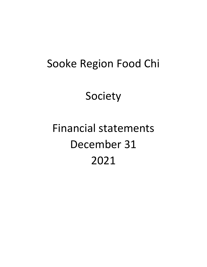# Sooke Region Food Chi

## Society

# Financial statements December 31 2021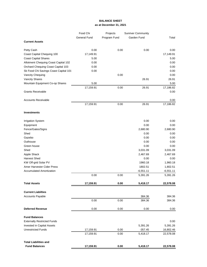## **BALANCE SHEET as at December 31, 2021**

|                                       | Food Chi            | Projects     | <b>Sunriver Community</b> |             |
|---------------------------------------|---------------------|--------------|---------------------------|-------------|
|                                       | <b>General Fund</b> | Program Fund | Garden Fund               | Total       |
| <b>Current Assets</b>                 |                     |              |                           |             |
| Petty Cash                            | 0.00                | 0.00         | 0.00                      | 0.00        |
| Coast Capital Chequing 100            | 17,149.91           |              |                           | 17,149.91   |
| <b>Coast Capital Shares</b>           | 5.00                |              |                           | 5.00        |
| Allotment Chequing Coast Capital 102  | 0.00                |              |                           | 0.00        |
| Orchard Chequing Coast Capital 103    | 0.00                |              |                           | 0.00        |
| Sk Food Chi Savings Coast Capital 101 | 0.00                |              |                           | 0.00        |
| Vancity Chequing                      |                     | 0.00         |                           | 0.00        |
| <b>Vancity Shares</b>                 |                     |              | 26.91                     | 26.91       |
| Mountain Equipment Co-op Shares       | 5.00                |              |                           | 5.00        |
|                                       | 17,159.91           | 0.00         | 26.91                     | 17,186.82   |
| <b>Grants Receivable</b>              |                     |              |                           | 0.00        |
| <b>Accounts Receivable</b>            |                     |              |                           | 0.00        |
|                                       | 17,159.91           | 0.00         | 26.91                     | 17,186.82   |
| <b>Investments</b>                    |                     |              |                           |             |
| <b>Irrigation System</b>              |                     |              | 0.00                      | 0.00        |
| Equipment                             |                     |              | 0.00                      | 0.00        |
| Fence/Gates/Signs                     |                     |              | 2,680.90                  | 2,680.90    |
| Shed                                  |                     |              | 0.00                      | 0.00        |
| Gazebo                                |                     |              | 0.00                      | 0.00        |
| Outhouse                              |                     |              | 0.00                      | 0.00        |
| Green house                           |                     |              | 0.00                      | 0.00        |
| Shed                                  |                     |              | 3,031.09                  | 3,031.09    |
| Apple Shack                           |                     |              | 2,467.69                  | 2,467.69    |
| <b>Harvest Shed</b>                   |                     |              | 0.00                      | 0.00        |
| KW Off-grid Solar PV                  |                     |              | 1960.18                   | 1,960.18    |
| Amer Harvester Cider Press            |                     |              | 1802.51                   | 1,802.51    |
| <b>Accumulated Amortization</b>       |                     |              | $-6,551.11$               | $-6,551.11$ |
|                                       | 0.00                | 0.00         | 5,391.26                  | 5,391.26    |
| <b>Total Assets</b>                   | 17,159.91           | 0.00         | 5,418.17                  | 22,578.08   |
| <b>Current Liabilties</b>             |                     |              |                           |             |
| <b>Accounts Payable</b>               |                     |              | 384.36                    | 384.36      |
|                                       | 0.00                | 0.00         | 384.36                    | 384.36      |
| <b>Deferred Revenue</b>               | 0.00                | 0.00         | 0.00                      | 0.00        |
| <b>Fund Balances</b>                  |                     |              |                           |             |
| <b>Externally Restricted Funds</b>    |                     |              |                           | 0.00        |
| Invested in Capital Assets            |                     |              | 5,391.26                  | 5,391.26    |
| <b>Unrestricted Funds</b>             | 17,159.91           | 0.00         | $-357.45$                 | 16,802.46   |
|                                       | 17,159.91           | 0.00         | 5,418.17                  | 22,578.08   |
| <b>Total Liabilities and</b>          |                     |              |                           |             |
| <b>Fund Balances</b>                  | 17,159.91           | 0.00         | 5,418.17                  | 22,578.08   |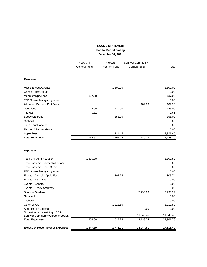### **INCOME STATEMENT For the Period Ending December 31, 2021**

|                                    | Food Chi            | Projects     | <b>Sunriver Community</b> |          |
|------------------------------------|---------------------|--------------|---------------------------|----------|
|                                    | <b>General Fund</b> | Program Fund | Garden Fund               | Total    |
|                                    |                     |              |                           |          |
| <b>Revenues</b>                    |                     |              |                           |          |
| Miscellaneous/Grants               |                     | 1,600.00     |                           | 1,600.00 |
| Grow a Row/Orchard                 |                     |              |                           | 0.00     |
| Memberships/Fees                   | 137.00              |              |                           | 137.00   |
| FED Sooke, backyard garden         |                     |              |                           | 0.00     |
| <b>Allotment Gardens Plot Fees</b> |                     |              | 189.23                    | 189.23   |
| <b>Donations</b>                   | 25.00               | 120.00       |                           | 145.00   |
| Interest                           | 0.61                |              |                           | 0.61     |
| Seedy Saturday                     |                     | 155.00       |                           | 155.00   |
| Orchard                            |                     |              |                           | 0.00     |
| Farm Tour/Harvest                  |                     |              |                           | 0.00     |
| Farmer 2 Farmer Grant              |                     |              |                           | 0.00     |
| Apple Fest                         |                     | 2,921.45     |                           | 2,921.45 |
| <b>Total Revenues</b>              | 162.61              | 4,796.45     | 189.23                    | 5,148.29 |

#### **Expenses**

| Food CHI Administration                                 | 1,809.80    |          |              | 1,809.80     |
|---------------------------------------------------------|-------------|----------|--------------|--------------|
| Food Systems, Farmer to Farmer                          |             |          |              | 0.00         |
| Food Systems, Food Guide                                |             |          |              | 0.00         |
| FED Sooke, backyard garden                              |             |          |              | 0.00         |
| Events - Annual - Apple Fest                            |             | 805.74   |              | 805.74       |
| Events - Farm Tour                                      |             |          |              | 0.00         |
| Events - General                                        |             |          |              | 0.00         |
| Events - Seedy Saturday                                 |             |          |              | 0.00         |
| <b>Sunriver Gardens</b>                                 |             |          | 7,790.29     | 7,790.29     |
| Grow A Row                                              |             |          |              | 0.00         |
| Orchard                                                 |             |          |              | 0.00         |
| Other SRCG                                              |             | 1,212.50 |              | 1,212.50     |
| Amortization Expense<br>Disposition at remaining UCC to |             |          | 0.00         | 0.00         |
| <b>Sunriver Community Gardens Society</b>               |             |          | 11,343.45    | 11,343.45    |
| <b>Total Expenses</b>                                   | 1,809.80    | 2,018.24 | 19,133.74    | 22,961.78    |
| <b>Excess of Revenue over Expenses</b>                  | $-1,647.19$ | 2,778.21 | $-18,944.51$ | $-17.813.49$ |